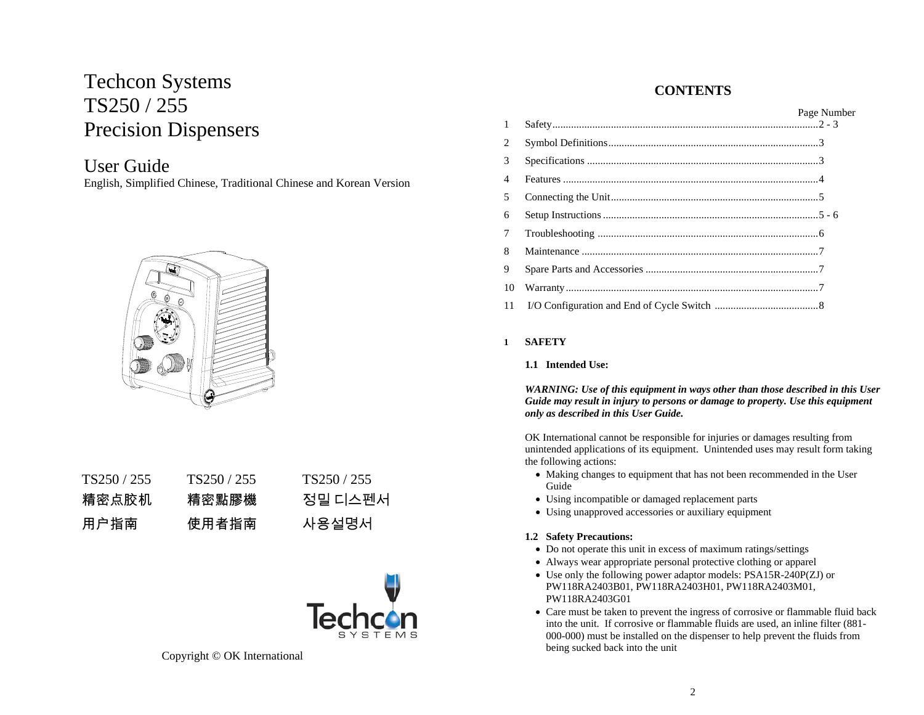# Techcon Systems TS250 / 255 Precision Dispensers

## User Guide

English, Simplified Chinese, Traditional Chinese and Korean Version



| TS250/255 | TS250/255 | TS <sub>250</sub> / 255 |
|-----------|-----------|-------------------------|
| 精密点胶机     | 精密點膠機     | 정밀 디스펜서                 |
| 用户指南      | 使用者指南     | 사용설명서                   |



Copyright © OK International

## **CONTENTS**

| $\mathbf{1}$ | Page Number |
|--------------|-------------|
| 2            |             |
| 3            |             |
| 4            |             |
| 5            |             |
| 6            |             |
| 7            |             |
| 8            |             |
| 9            |             |
| 10           |             |
| 11           |             |

### **1 SAFETY**

#### **1.1 Intended Use:**

*WARNING: Use of this equipment in ways other than those described in this User Guide may result in injury to persons or damage to property. Use this equipment only as described in this User Guide.* 

OK International cannot be responsible for injuries or damages resulting from unintended applications of its equipment. Unintended uses may result form taking the following actions:

- Making changes to equipment that has not been recommended in the User Guide
- Using incompatible or damaged replacement parts
- Using unapproved accessories or auxiliary equipment

#### **1.2 Safety Precautions:**

- Do not operate this unit in excess of maximum ratings/settings
- Always wear appropriate personal protective clothing or apparel
- Use only the following power adaptor models: PSA15R-240P(ZJ) or PW118RA2403B01, PW118RA2403H01, PW118RA2403M01, PW118RA2403G01
- Care must be taken to prevent the ingress of corrosive or flammable fluid back into the unit. If corrosive or flammable fluids are used, an inline filter (881- 000-000) must be installed on the dispenser to help prevent the fluids from being sucked back into the unit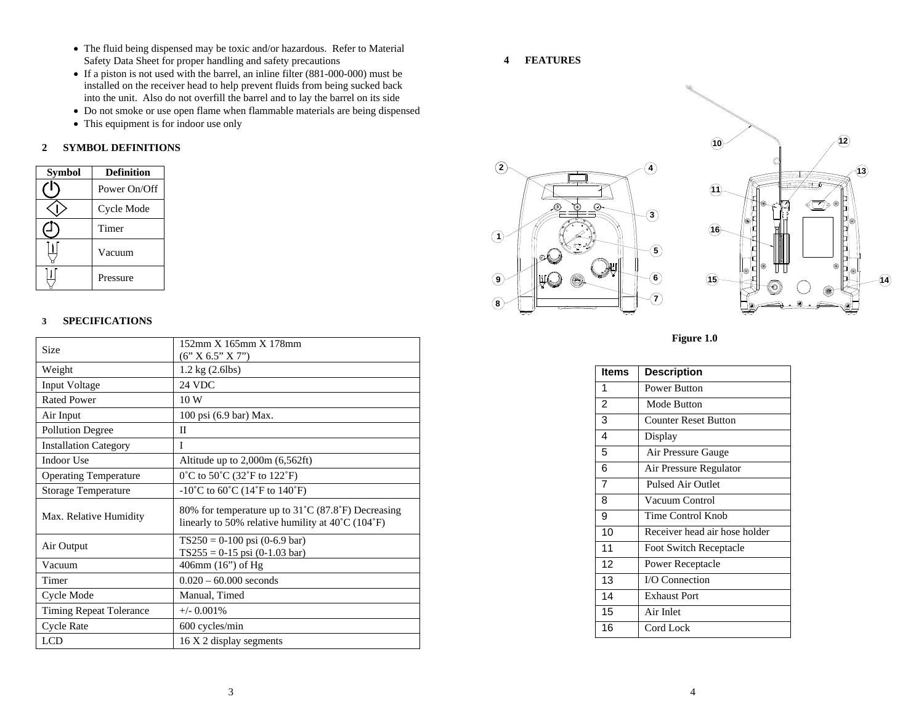- The fluid being dispensed may be toxic and/or hazardous. Refer to Material Safety Data Sheet for proper handling and safety precautions
- If a piston is not used with the barrel, an inline filter (881-000-000) must be installed on the receiver head to help prevent fluids from being sucked back into the unit. Also do not overfill the barrel and to lay the barrel on its side
- Do not smoke or use open flame when flammable materials are being dispensed
- This equipment is for indoor use only

#### **2 SYMBOL DEFINITIONS**

| <b>Symbol</b> | <b>Definition</b> |
|---------------|-------------------|
|               | Power On/Off      |
|               | Cycle Mode        |
|               | Timer             |
|               | Vacuum            |
|               | Pressure          |

#### **3SPECIFICATIONS**

| Size                           | $152$ mm X $165$ mm X $178$ mm                                                                                               |
|--------------------------------|------------------------------------------------------------------------------------------------------------------------------|
|                                | (6' X 6.5'' X 7'')                                                                                                           |
| Weight                         | $1.2 \text{ kg} (2.6 \text{ lbs})$                                                                                           |
| Input Voltage                  | <b>24 VDC</b>                                                                                                                |
| <b>Rated Power</b>             | 10W                                                                                                                          |
| Air Input                      | 100 psi (6.9 bar) Max.                                                                                                       |
| <b>Pollution Degree</b>        | H                                                                                                                            |
| <b>Installation Category</b>   | T                                                                                                                            |
| Indoor Use                     | Altitude up to 2,000m (6,562ft)                                                                                              |
| <b>Operating Temperature</b>   | 0°C to 50°C (32°F to 122°F)                                                                                                  |
| <b>Storage Temperature</b>     | $-10^{\circ}$ C to 60 $^{\circ}$ C (14 $^{\circ}$ F to 140 $^{\circ}$ F)                                                     |
| Max. Relative Humidity         | 80% for temperature up to 31°C (87.8°F) Decreasing<br>linearly to 50% relative humility at $40^{\circ}$ C (104 $^{\circ}$ F) |
| Air Output                     | $TS250 = 0-100$ psi (0-6.9 bar)<br>$TS255 = 0-15$ psi (0-1.03 bar)                                                           |
| Vacuum                         | 406mm (16") of Hg                                                                                                            |
| Timer                          | $0.020 - 60.000$ seconds                                                                                                     |
| Cycle Mode                     | Manual, Timed                                                                                                                |
| <b>Timing Repeat Tolerance</b> | $+/-$ 0.001%                                                                                                                 |
| <b>Cycle Rate</b>              | 600 cycles/min                                                                                                               |
| <b>LCD</b>                     | 16 X 2 display segments                                                                                                      |

#### **4 FEATURES**





**14**

**12**

| Items          | <b>Description</b>            |
|----------------|-------------------------------|
| 1              | <b>Power Button</b>           |
| $\overline{2}$ | Mode Button                   |
| 3              | Counter Reset Button          |
| 4              | Display                       |
| 5              | Air Pressure Gauge            |
| 6              | Air Pressure Regulator        |
| $\overline{7}$ | <b>Pulsed Air Outlet</b>      |
| 8              | Vacuum Control                |
| 9              | Time Control Knob             |
| 10             | Receiver head air hose holder |
| 11             | Foot Switch Receptacle        |
| 12             | Power Receptacle              |
| 13             | I/O Connection                |
| 14             | <b>Exhaust Port</b>           |
| 15             | Air Inlet                     |
| 16             | Cord Lock                     |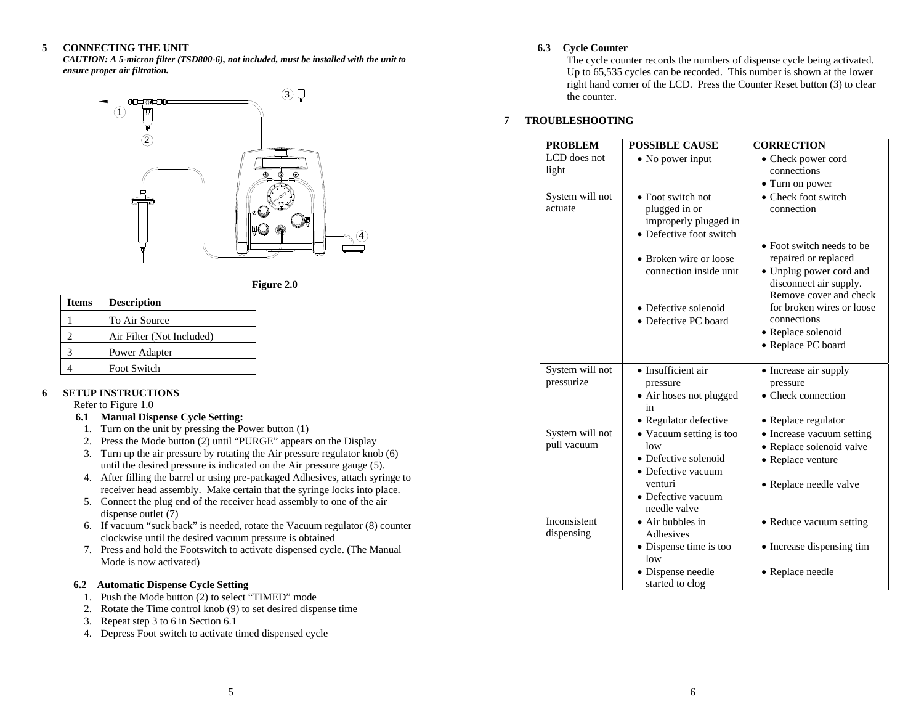#### **5CONNECTING THE UNIT**

*CAUTION: A 5-micron filter (TSD800-6), not included, must be installed with the unit to ensure proper air filtration.* 





| <b>Items</b> | <b>Description</b>        |
|--------------|---------------------------|
|              | To Air Source             |
| 2            | Air Filter (Not Included) |
| 3            | Power Adapter             |
|              | Foot Switch               |

#### **6SETUP INSTRUCTIONS**

Refer to Figure 1.0

#### **6.1 Manual Dispense Cycle Setting:**

- 1. Turn on the unit by pressing the Power button (1)
- 2. Press the Mode button (2) until "PURGE" appears on the Display
- 3. Turn up the air pressure by rotating the Air pressure regulator knob (6) until the desired pressure is indicated on the Air pressure gauge (5).
- 4. After filling the barrel or using pre-packaged Adhesives, attach syringe to receiver head assembly. Make certain that the syringe locks into place.
- 5. Connect the plug end of the receiver head assembly to one of the air dispense outlet (7)
- 6. If vacuum "suck back" is needed, rotate the Vacuum regulator (8) counter clockwise until the desired vacuum pressure is obtained
- 7. Press and hold the Footswitch to activate dispensed cycle. (The Manual Mode is now activated)

#### **6.2 Automatic Dispense Cycle Setting**

- 1. Push the Mode button (2) to select "TIMED" mode
- 2. Rotate the Time control knob (9) to set desired dispense time
- 3. Repeat step 3 to 6 in Section 6.1
- 4. Depress Foot switch to activate timed dispensed cycle

#### **6.3 Cycle Counter**

The cycle counter records the numbers of dispense cycle being activated. Up to 65,535 cycles can be recorded. This number is shown at the lower right hand corner of the LCD. Press the Counter Reset button (3) to clear the counter.

#### **7TROUBLESHOOTING**

| <b>PROBLEM</b>  | <b>POSSIBLE CAUSE</b>            | <b>CORRECTION</b>         |
|-----------------|----------------------------------|---------------------------|
| LCD does not    | • No power input                 | • Check power cord        |
| light           |                                  | connections               |
|                 |                                  | • Turn on power           |
| System will not | • Foot switch not                | • Check foot switch       |
| actuate         | plugged in or                    | connection                |
|                 | improperly plugged in            |                           |
|                 | • Defective foot switch          | • Foot switch needs to be |
|                 | • Broken wire or loose           | repaired or replaced      |
|                 | connection inside unit           | • Unplug power cord and   |
|                 |                                  | disconnect air supply.    |
|                 |                                  | Remove cover and check    |
|                 | • Defective solenoid             | for broken wires or loose |
|                 | • Defective PC board             | connections               |
|                 |                                  | • Replace solenoid        |
|                 |                                  | • Replace PC board        |
| System will not | · Insufficient air               | • Increase air supply     |
| pressurize      | pressure                         | pressure                  |
|                 | • Air hoses not plugged          | • Check connection        |
|                 | in                               |                           |
|                 | • Regulator defective            | • Replace regulator       |
| System will not | • Vacuum setting is too          | • Increase vacuum setting |
| pull vacuum     | low                              | · Replace solenoid valve  |
|                 | • Defective solenoid             | • Replace venture         |
|                 | • Defective vacuum               |                           |
|                 | venturi                          | • Replace needle valve    |
|                 | • Defective vacuum               |                           |
| Inconsistent    | needle valve<br>• Air bubbles in | • Reduce vacuum setting   |
| dispensing      | Adhesives                        |                           |
|                 | • Dispense time is too           | • Increase dispensing tim |
|                 | low                              |                           |
|                 | · Dispense needle                | • Replace needle          |
|                 | started to clog                  |                           |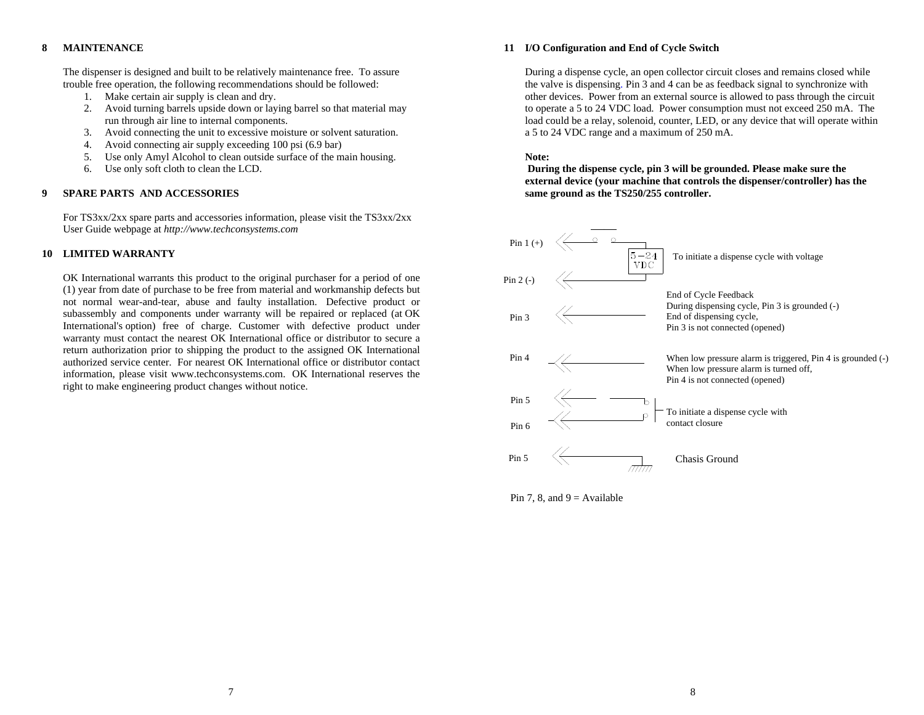#### **8MAINTENANCE**

The dispenser is designed and built to be relatively maintenance free. To assure trouble free operation, the following recommendations should be followed:

- 1. Make certain air supply is clean and dry.
- 2. Avoid turning barrels upside down or laying barrel so that material may run through air line to internal components.
- 3. Avoid connecting the unit to excessive moisture or solvent saturation.
- 4. Avoid connecting air supply exceeding 100 psi (6.9 bar)
- 5. Use only Amyl Alcohol to clean outside surface of the main housing.
- 6. Use only soft cloth to clean the LCD.

#### **9SPARE PARTS AND ACCESSORIES**

For TS3xx/2xx spare parts and accessories information, please visit the TS3xx/2xx User Guide webpage at *http://www.techconsystems.com*

#### **10 LIMITED WARRANTY**

OK International warrants this product to the original purchaser for a period of one (1) year from date of purchase to be free from material and workmanship defects but not normal wear-and-tear, abuse and faulty installation. Defective product or subassembly and components under warranty will be repaired or replaced (at OK International's option) free of charge. Customer with defective product under warranty must contact the nearest OK International office or distributor to secure a return authorization prior to shipping the product to the assigned OK International authorized service center. For nearest OK International office or distributor contact information, please visit www.techconsystems.com. OK International reserves the right to make engineering product changes without notice.

#### **11 I/O Configuration and End of Cycle Switch**

During a dispense cycle, an open collector circuit closes and remains closed while the valve is dispensing. Pin 3 and 4 can be as feedback signal to synchronize with other devices. Power from an external source is allowed to pass through the circuit to operate a 5 to 24 VDC load. Power consumption must not exceed 250 mA. The load could be a relay, solenoid, counter, LED, or any device that will operate within a 5 to 24 VDC range and a maximum of 250 mA.

#### **Note:**

 **During the dispense cycle, pin 3 will be grounded. Please make sure the external device (your machine that controls the dispenser/controller) has the same ground as the TS250/255 controller.** 



Pin 7, 8, and  $9 =$  Available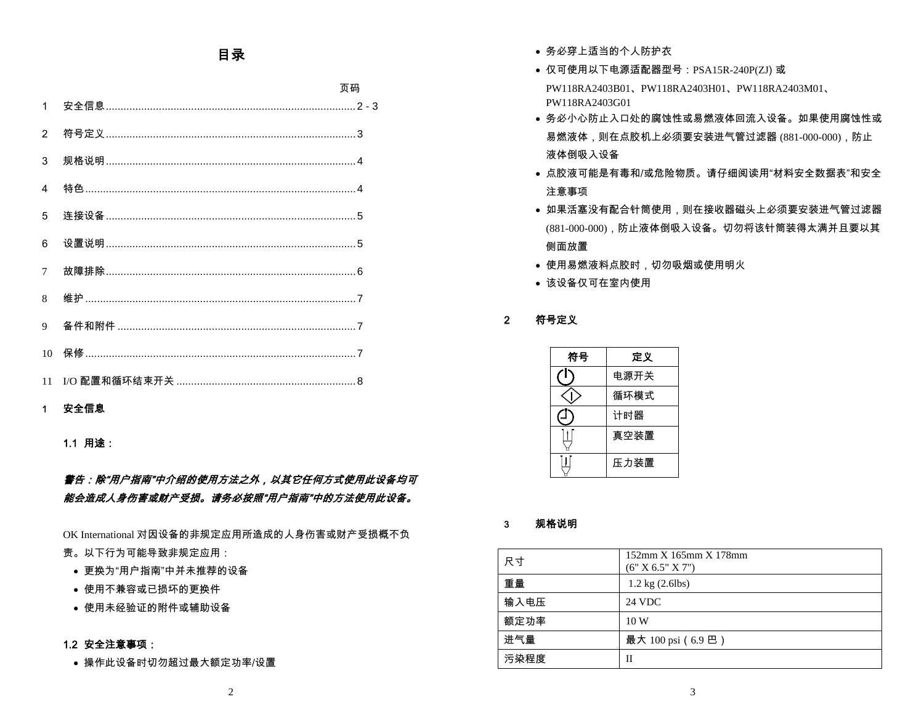## 目录

|                | 页码 |
|----------------|----|
| $\mathbf{1}$   |    |
| $\overline{2}$ |    |
| 3              |    |
| $\overline{4}$ |    |
| 5              |    |
| 6              |    |
| $\overline{7}$ |    |
| 8              |    |
| $\mathbf Q$    |    |
| 10             |    |
|                |    |

### 1 安全信息

1.1 用途:

## 警告:除"用户指南"中介绍的使用方法之外,以其它任何方式使用此设备均可 能会造成人身伤害或财产受损。请务必按照"用户指南"中的方法使用此设备。

OK International 对因设备的非规定应用所造成的人身伤害或财产受损概不负

- 责。以下行为可能导致非规定应用:
	- 更换为"用户指南"中并未推荐的设备
	- 使用不兼容或已损坏的更换件
	- 使用未经验证的附件或辅助设备

#### 1.2 安全注意事项:

• 操作此设备时切勿超过最大额定功率/设置

- 务必穿上适当的个人防护衣
- 仅可使用以下电源适配器型号:PSA15R-240P(ZJ) 或 PW118RA2403B01、PW118RA2403H01、PW118RA2403M01、PW118RA2403G01
- 务必小心防止入口处的腐蚀性或易燃液体回流入设备。如果使用腐蚀性或易燃液体,则在点胶机上必须要安装进气管过滤器 (881-000-000),防止 液体倒吸入设备
- 点胶液可能是有毒和/或危险物质。请仔细阅读用"材料安全数据表"和安全注意事项
- 如果活塞没有配合针筒使用,则在接收器磁头上必须要安装进气管过滤器 (881-000-000),防止液体倒吸入设备。切勿将该针筒装得太满并且要以其 侧面放置
- ● 使用易燃液料点胶时,切勿吸烟或使用明火
- 该设备仅可在室内使用

#### 2 符号定义

| 符号 | 定义   |
|----|------|
|    | 电源开关 |
|    | 循环模式 |
|    | 计时器  |
|    | 真空装置 |
|    | 压力装置 |

#### 3规格说明

| 尺寸   | 152mm X 165mm X 178mm<br>(6" X 6.5" X 7") |
|------|-------------------------------------------|
| 重量   | $1.2 \text{ kg} (2.6 \text{ lbs})$        |
| 输入电压 | 24 VDC                                    |
| 额定功率 | 10W                                       |
| 进气量  | 最大 100 psi (6.9 巴)                        |
| 污染程度 | Н                                         |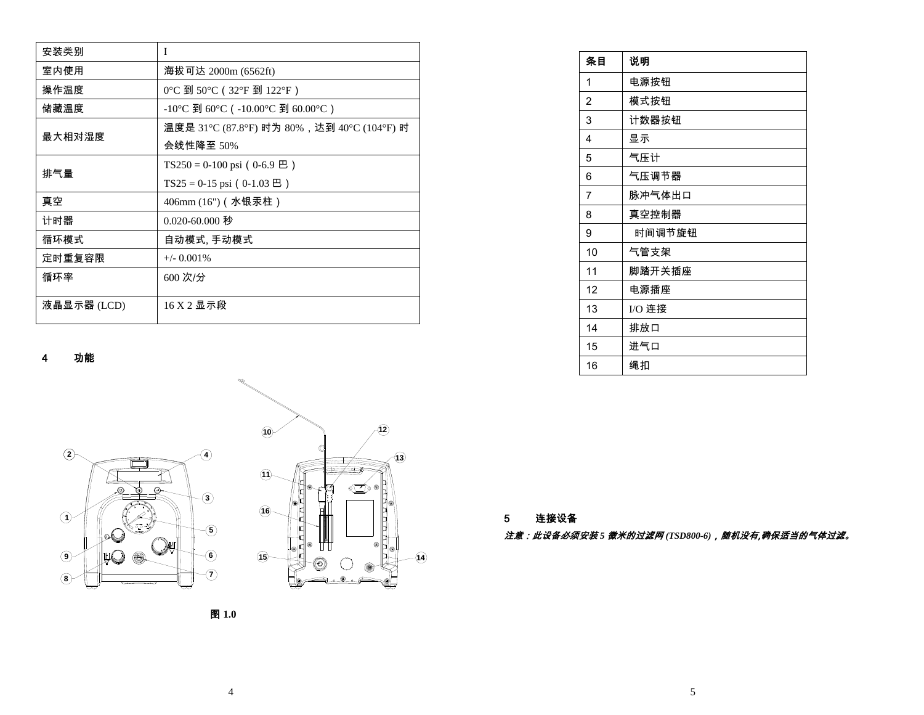| 安装类别        | I                                      |
|-------------|----------------------------------------|
| 室内使用        | 海拔可达 2000m (6562ft)                    |
| 操作温度        | 0℃到50℃ (32°F到122°F)                    |
| 储藏温度        | -10°C 到 60°C ( -10.00°C 到 60.00°C )    |
| 最大相对湿度      | 温度是 31℃ (87.8℃) 时为 80%,达到 40℃ (104℃) 时 |
|             | 会线性降至 50%                              |
| 排气量         | TS250 = 0-100 psi (0-6.9 $\boxplus$ )  |
|             | TS25 = 0-15 psi (0-1.03 $\Xi$ )        |
| 真空          | 406mm (16")(水银汞柱)                      |
| 计时器         | 0.020-60.000 秒                         |
| 循环模式        | 自动模式, 手动模式                             |
| 定时重复容限      | $+/-$ 0.001\%                          |
| 循环率         | 600 次/分                                |
| 液晶显示器 (LCD) | 16 X 2 显示段                             |

4功能





| 条目 | 说明     |
|----|--------|
| 1  | 电源按钮   |
| 2  | 模式按钮   |
| 3  | 计数器按钮  |
| 4  | 显示     |
| 5  | 气压计    |
| 6  | 气压调节器  |
| 7  | 脉冲气体出口 |
| 8  | 真空控制器  |
| 9  | 时间调节旋钮 |
| 10 | 气管支架   |
| 11 | 脚踏开关插座 |
| 12 | 电源插座   |
| 13 | I/O 连接 |
| 14 | 排放口    |
| 15 | 进气口    |
| 16 | 绳扣     |

5连接设备

*注意:此设备必须安装 5 微米的过滤网* (TSD800-6),随机没有,确保适当的气体过滤。

图 **1.0**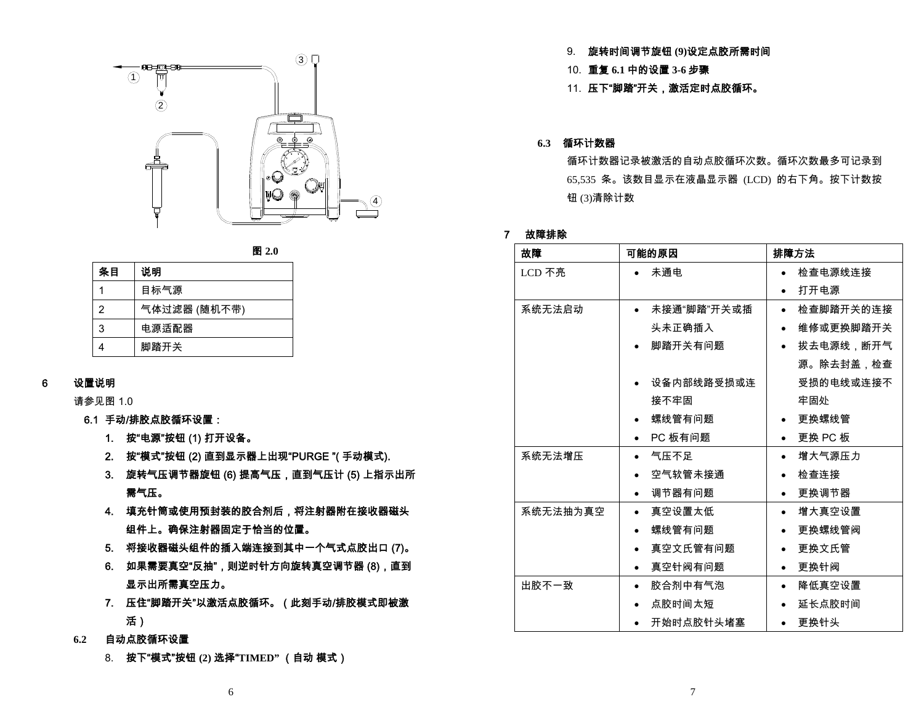



| 条目 | 说明           |
|----|--------------|
| 1  | 目标气源         |
| 2  | 气体过滤器 (随机不带) |
| 3  | 电源活配器        |
| 4  | 脚踏开关         |

#### 6设置说明

请参见图 1.0

- 6.1 手动/排胶点胶循环设置:
	- 1. 按"电源"按钮 (1) 打开设备。
	- 2. 按"模式"按钮 (2) 直到显示器上出现"PURGE "( 手动模式).
	- 3. 旋转气压调节器旋钮 (6) 提高气压,直到气压计 (5) 上指示出所 需气压。
	- 4. 填充针筒或使用预封装的胶合剂后,将注射器附在接收器磁头 组件上。确保注射器固定于恰当的位置。
	- 5. 将接收器磁头组件的插入端连接到其中一个气式点胶出口 (7)。
	- 6. 如果需要真空"反抽",则逆时针方向旋转真空调节器 (8),直到 显示出所需真空压力。
	- 7. 压住"脚踏开关"以激活点胶循环。(此刻手动/排胶模式即被激 活)
- **6.2** 自动点胶循环设置
	- 8. 按下"模式"按钮 **(2)** 选择"**TIMED"** (自动 模式)
- 9. 旋转时间调节旋钮 **(9)**设定点胶所需时间
- 10. 重复 **6.1** 中的设置 **3-6** 步骤
- 11. 压下"脚踏"开关,激活定时点胶循环。

#### **6.3** 循环计数器

循环计数器记录被激活的自动点胶循环次数。循环次数最多可记录到 65,535 条。该数目显示在液晶显示器 (LCD) 的右下角。按下计数按 钮 (3)清除计数

#### 7 故障排除

| 故障       | 可能的原因                | 排障方法                   |
|----------|----------------------|------------------------|
| LCD 不亮   | 未通电                  | 检查电源线连接                |
|          |                      | 打开电源<br>$\bullet$      |
| 系统无法启动   | 未接通"脚踏"开关或插          | 检查脚踏开关的连接<br>$\bullet$ |
|          | 头未正确插入               | 维修或更换脚踏开关<br>$\bullet$ |
|          | 脚踏开关有问题              | 拔去电源线,断开气<br>$\bullet$ |
|          |                      | 源。除去封盖,检查              |
|          | 设备内部线路受损或连           | 受损的电线或连接不              |
|          | 接不牢固                 | 牢固处                    |
|          | 螺线管有问题               | 更换螺线管                  |
|          | PC 板有问题              | 更换 PC 板                |
| 系统无法增压   | 气压不足                 | 增大气源压力<br>$\bullet$    |
|          | 空气软管未接通              | 检查连接                   |
|          | 调节器有问题<br>$\bullet$  | 更换调节器<br>$\bullet$     |
| 系统无法抽为真空 | 真空设置太低<br>$\bullet$  | 增大真空设置<br>$\bullet$    |
|          | 螺线管有问题<br>$\bullet$  | 更换螺线管阀<br>$\bullet$    |
|          | 真空文氏管有问题             | 更换文氏管                  |
|          | 真空针阀有问题              | 更换针阀<br>$\bullet$      |
| 出胶不一致    | 胶合剂中有气泡<br>$\bullet$ | 降低真空设置<br>$\bullet$    |
|          | 点胶时间太短               | 延长点胶时间                 |
|          | 开始时点胶针头堵塞            | 更换针头                   |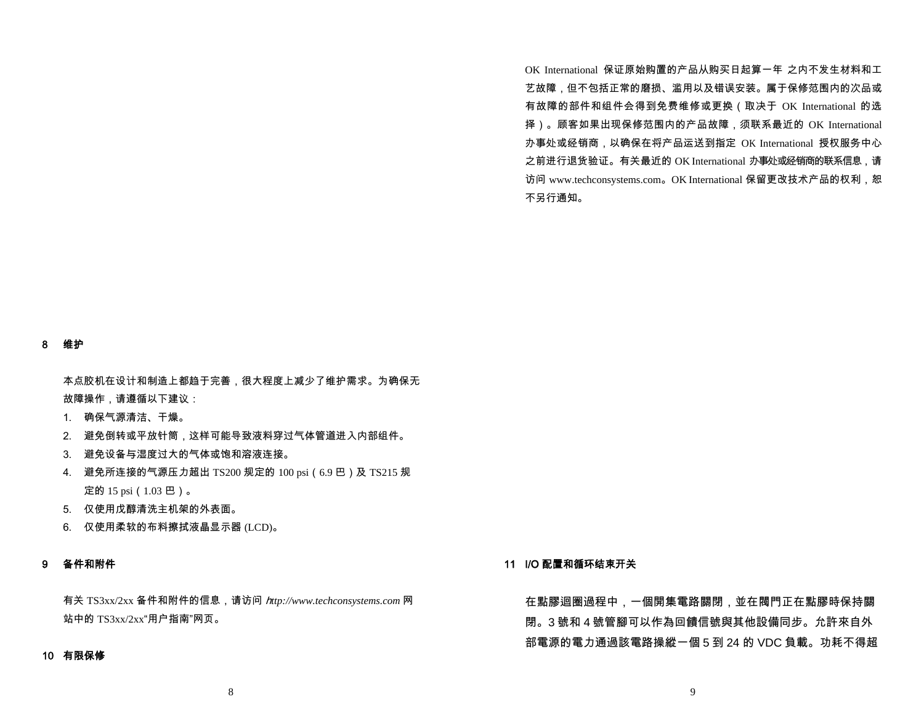OK International 保证原始购置的产品从购买日起算一年 之内不发生材料和工 艺故障,但不包括正常的磨损、滥用以及错误安装。属于保修范围内的次品或 有故障的部件和组件会得到免费维修或更换(取决于 OK International 的选 择)。顾客如果出现保修范围内的产品故障,须联系最近的 OK International 办事处或经销商,以确保在将产品运送到指定 OK International 授权服务中心 之前进行退货验证。有关最近的 OK International 办事处或经销商的联系信息,请 访问 www.techconsystems.com。OK International 保留更改技术产品的权利, 恕 不另行通知。

#### 8 维护

本点胶机在设计和制造上都趋于完善,很大程度上减少了维护需求。为确保无 故障操作,请遵循以下建议:

- 1. 确保气源清洁、干燥。
- 2. 避免倒转或平放针筒,这样可能导致液料穿过气体管道进入内部组件。
- 3. 避免设备与湿度过大的气体或饱和溶液连接。
- 4. 避免所连接的气源压力超出 TS200 规定的 100 psi(6.9 巴)及 TS215 规 定的 15 psi(1.03 巴)。
- 5. 仅使用戊醇清洗主机架的外表面。
- 6. 仅使用柔软的布料擦拭液晶显示器 (LCD)。

#### 9 备件和附件

有关 TS3xx/2xx 备件和附件的信息,请访问 h*ttp://www.techconsystems.com* 网 站中的 TS3xx/2xx"用户指南"网页。

#### 10 有限保修

#### 11 I/O 配置和循环结束开关

在點膠迴圈過程中,一個開集電路關閉,並在閥門正在點膠時保持關 閉。3 號和 4 號管腳可以作為回饋信號與其他設備同步。允許來自外 部電源的電力通過該電路操縱一個 5 到 24 的 VDC 負載。功耗不得超

8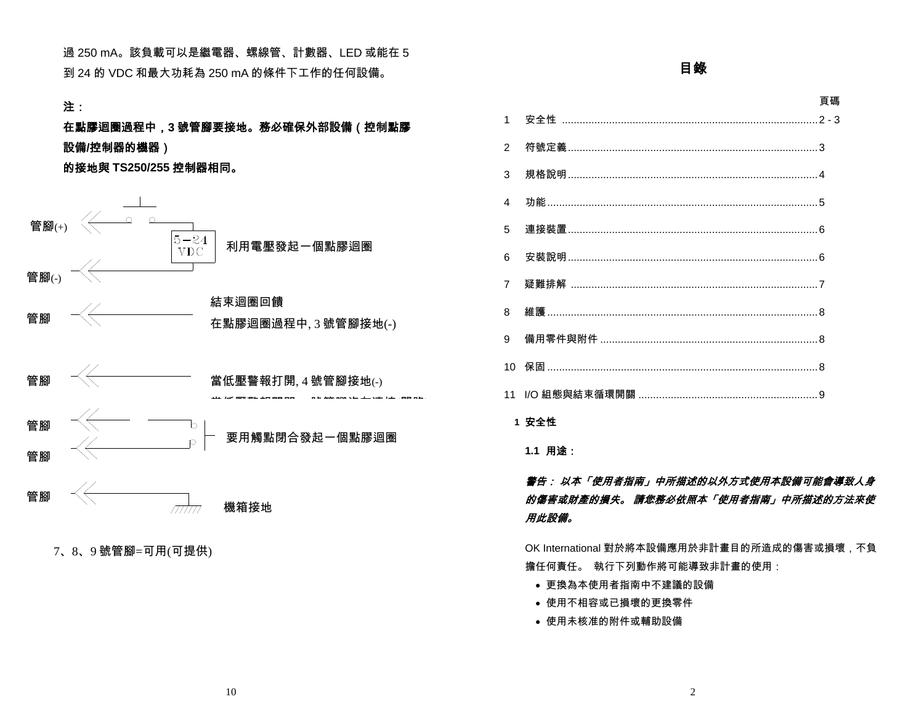過 250 mA。該負載可以是繼電器、螺線管、計數器、LED 或能在 5 到 24 的 VDC 和最大功耗為 250 mA 的條件下工作的任何設備。

### 注:

## 在點膠迴圈過程中,**<sup>3</sup>** 號管腳要接地。務必確保外部設備(控制點膠 設備**/**控制器的機器)

的接地與 **TS250/255** 控制器相同。



<sup>7</sup>、8、<sup>9</sup> 號管腳=可用(可提供)

## 目錄

#### 頁碼

| $1 \quad$      |                                      |  |
|----------------|--------------------------------------|--|
| $\overline{2}$ |                                      |  |
| 3              |                                      |  |
| 4              |                                      |  |
| 5              | 連接裝置…………………………………………………………………………………6 |  |
| 6              |                                      |  |
| $\overline{7}$ |                                      |  |
| 8              |                                      |  |
| 9              |                                      |  |
|                |                                      |  |
|                |                                      |  |
|                |                                      |  |

### **1** 安全性

**1.1** 用途:

## 警告: 以本「使用者指南」中所描述的以外方式使用本設備可能會導致人身 的傷害或財產的損失。 請您務必依照本「使用者指南」中所描述的方法來使 用此設備。

OK International 對於將本設備應用於非計畫目的所造成的傷害或損壞,不負 擔任何責任。 執行下列動作將可能導致非計畫的使用:

- 更換為本使用者指南中不建議的設備
- 使用不相容或已損壞的更換零件
- 使用未核准的附件或輔助設備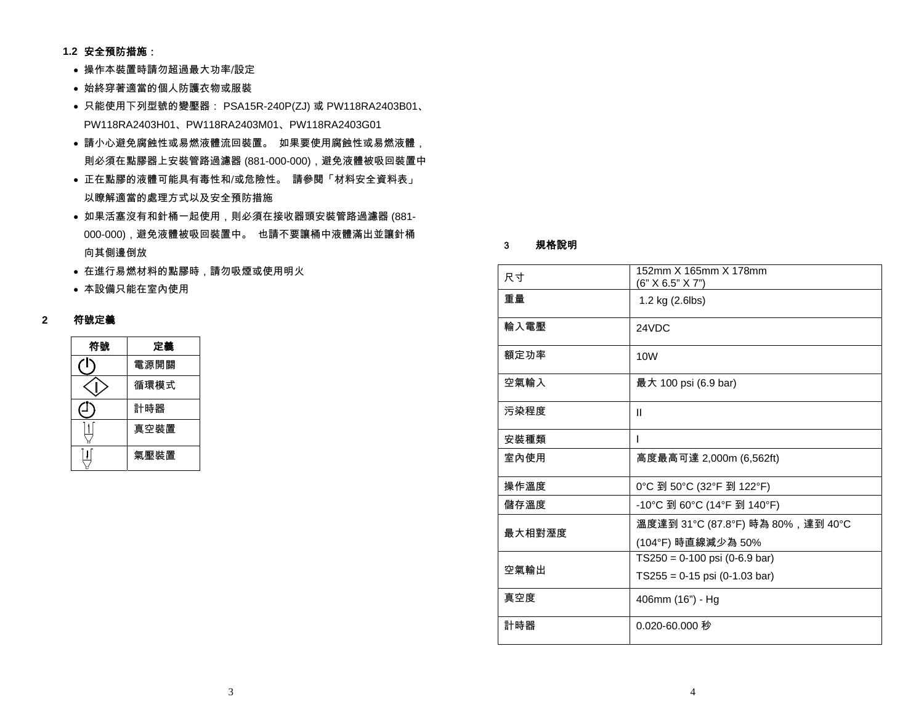- **1.2** 安全預防措施:
	- 操作本裝置時請勿超過最大功率/設定
	- 始終穿著適當的個人防護衣物或服裝
	- 只能使用下列型號的變壓器: PSA15R-240P(ZJ) 或 PW118RA2403B01、 PW118RA2403H01、PW118RA2403M01、PW118RA2403G01
	- 請小心避免腐蝕性或易燃液體流回裝置。 如果要使用腐蝕性或易燃液體, 則必須在點膠器上安裝管路過濾器 (881-000-000),避免液體被吸回裝置中
	- 正在點膠的液體可能具有毒性和/或危險性。 請參閱「材料安全資料表」 以瞭解適當的處理方式以及安全預防措施
	- 如果活塞沒有和針桶一起使用,則必須在接收器頭安裝管路過濾器 (881- 000-000),避免液體被吸回裝置中。 也請不要讓桶中液體滿出並讓針桶 向其側邊倒放
	- 在進行易燃材料的點膠時,請勿吸煙或使用明火
	- 本設備只能在室內使用

### **2** 符號定義

| 符號 | 定義   |
|----|------|
|    | 電源開關 |
|    | 循環模式 |
|    | 計時器  |
|    | 真空裝置 |
|    | 氣壓裝置 |

#### 3規格說明

| 尺寸     | 152mm X 165mm X 178mm<br>(6" X 6.5" X 7")                          |
|--------|--------------------------------------------------------------------|
| 重量     | 1.2 kg (2.6lbs)                                                    |
| 輸入電壓   | 24VDC                                                              |
| 額定功率   | 10 <sub>W</sub>                                                    |
| 空氣輸入   | 最大 100 psi (6.9 bar)                                               |
| 污染程度   | Ш                                                                  |
| 安裝種類   | I                                                                  |
| 室內使用   | 高度最高可達 2,000m (6,562ft)                                            |
| 操作溫度   | 0°C 到 50°C (32°F 到 122°F)                                          |
| 儲存溫度   | -10°C 到 60°C (14°F 到 140°F)                                        |
| 最大相對溼度 | 溫度達到 31℃ (87.8°F) 時為 80%,達到 40°C<br>(104°F) 時直線減少為 50%             |
| 空氣輸出   | $TS250 = 0.100$ psi (0-6.9 bar)<br>$TS255 = 0.15$ psi (0-1.03 bar) |
| 真空度    | 406mm (16") - Hg                                                   |
| 計時器    | 0.020-60.000 秒                                                     |
|        |                                                                    |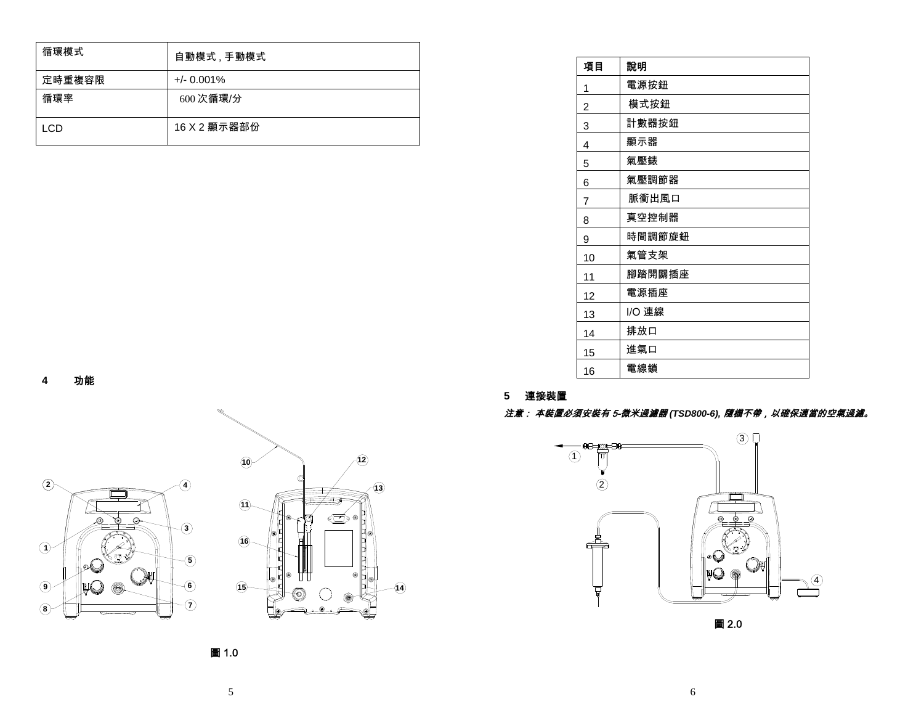| 循環模式   | 自動模式 , 手動模式   |
|--------|---------------|
| 定時重複容限 | $+/- 0.001\%$ |
| 循環率    | 600次循環/分      |
| LCD    | 16 X 2 顯示器部份  |

| 項目 | 說明     |
|----|--------|
| 1  | 電源按鈕   |
| 2  | 模式按鈕   |
| 3  | 計數器按鈕  |
| 4  | 顯示器    |
| 5  | 氣壓錶    |
| 6  | 氣壓調節器  |
| 7  | 脈衝出風口  |
| 8  | 真空控制器  |
| 9  | 時間調節旋鈕 |
| 10 | 氣管支架   |
| 11 | 腳踏開關插座 |
| 12 | 電源插座   |
| 13 | I/O 連線 |
| 14 | 排放口    |
| 15 | 進氣口    |
| 16 | 電線鎖    |

#### **4** 功能



#### **5** 連接裝置

#### 注意: 本裝置必須安裝有 5-微米過濾器 *(TSD800-6),* 隨機不帶,以確保適當的空氣過濾。



圖 2.0

圖 1.0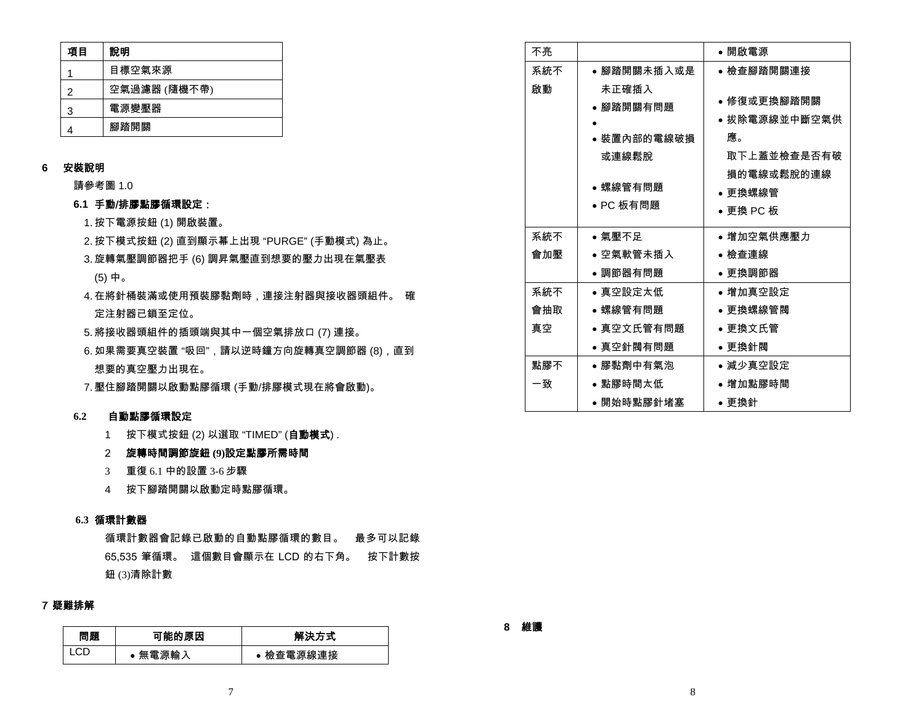| 項目 | 說明           |  |
|----|--------------|--|
|    | 目標空氣來源       |  |
| 2  | 空氣過濾器 (隨機不帶) |  |
| 3  | 電源變壓器        |  |
|    | 腳踏開關         |  |

### **6** 安裝說明

請參考圖 1.0

#### **6.1** 手動/排膠點膠循環設定:

- 1. 按下電源按鈕 (1) 開啟裝置。
- 2. 按下模式按鈕 (2) 直到顯示幕上出現 "PURGE" (手動模式) 為止。
- 3. 旋轉氣壓調節器把手 (6) 調昇氣壓直到想要的壓力出現在氣壓表 (5) 中。
- 4. 在將針桶裝滿或使用預裝膠黏劑時,連接注射器與接收器頭組件。 確 定注射器已鎖至定位。
- 5. 將接收器頭組件的插頭端與其中一個空氣排放口 (7) 連接。
- 6. 如果需要真空裝置 "吸回",請以逆時鐘方向旋轉真空調節器 (8),直到 想要的真空壓力出現在。
- 7. 壓住腳踏開關以啟動點膠循環 (手動/排膠模式現在將會啟動)。

#### **6.2**自動點膠循環設定

- 1 按下模式按鈕 (2) 以選取 "TIMED" (**自動模式**) .
- 2 旋轉時間調節旋鈕 **(9)**設定點膠所需時間
- 3 重復 6.1 中的設置 3-6 步驟
- 4 按下腳踏開關以啟動定時點膠循環。

#### **6.3** 循環計數器

循環計數器會記錄已啟動的自動點膠循環的數目。 最多可以記錄 65,535 筆循環。 這個數目會顯示在 LCD 的右下角。 按下計數按 鈕 (3)清除計數

#### 7 疑難排解

| 問題 | 可能的原因 | 解決方式      |
|----|-------|-----------|
|    | 無電源輸入 | ● 檢查電源線連接 |

| 不亮  |                                                                     | • 開啟電源                                                                                  |
|-----|---------------------------------------------------------------------|-----------------------------------------------------------------------------------------|
| 系統不 | ● 腳踏開關未插入或是                                                         | ● 檢查腳踏開關連接                                                                              |
| 啟動  | 未正確插入<br>● 腳踏開關有問題<br>● 裝置內部的電線破損<br>或連線鬆脫<br>● 螺線管有問題<br>● PC 板有問題 | ● 修復或更換腳踏開關<br>● 拔除電源線並中斷空氣供<br>應。<br>取下上蓋並檢查是否有破<br>損的電線或鬆脫的連線<br>● 更換螺線管<br>• 更換 PC 板 |
| 系統不 | ● 氣壓不足                                                              | ● 增加空氣供應壓力                                                                              |
| 會加壓 | ● 空氣軟管未插入                                                           | ● 檢查連線                                                                                  |
|     | ● 調節器有問題                                                            | ● 更換調節器                                                                                 |
| 系統不 | • 真空設定太低                                                            | ● 增加真空設定                                                                                |
| 會抽取 | ● 螺線管有問題                                                            | ● 更換螺線管閥                                                                                |
| 真空  | ● 真空文氏管有問題                                                          | ● 更換文氏管                                                                                 |
|     | ● 真空針閥有問題                                                           | ● 更換針閥                                                                                  |
| 點膠不 | ● 膠黏劑中有氣泡                                                           | ● 減少真空設定                                                                                |
| 一致  | ● 點膠時間太低                                                            | ● 增加點膠時間                                                                                |
|     | ● 開始時點膠針堵塞                                                          | ● 更換針                                                                                   |

### **8** 維護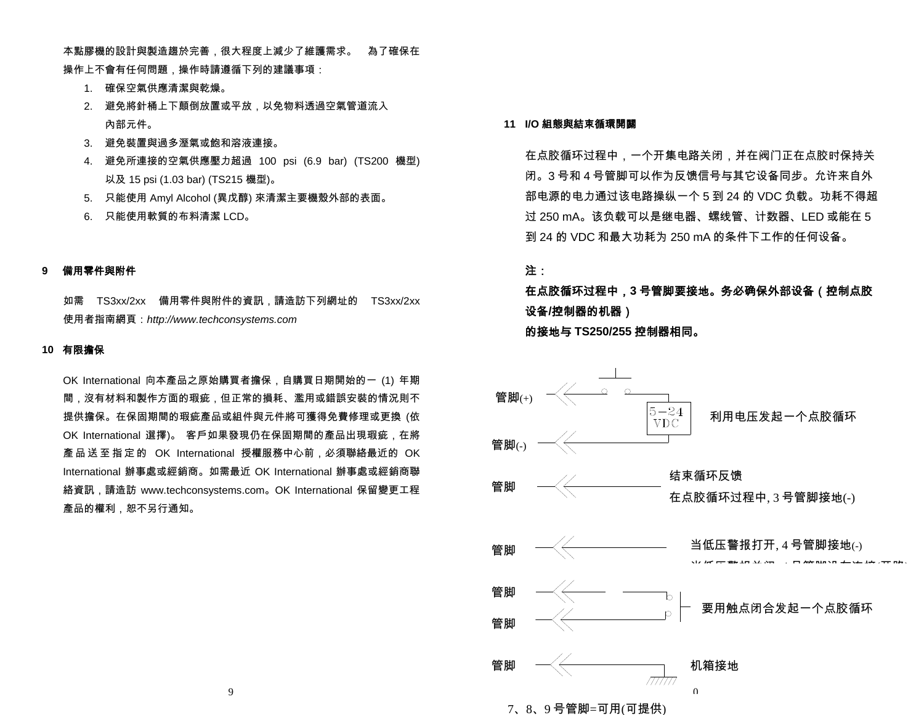本點膠機的設計與製造趨於完善,很大程度上減少了維護需求。 為了確保在 操作上不會有任何問題,操作時請遵循下列的建議事項:

- 1. 確保空氣供應清潔與乾燥。
- 2. 避免將針桶上下顛倒放置或平放,以免物料透過空氣管道流入 內部元件。
- 3. 避免裝置與過多溼氣或飽和溶液連接。
- 4. 避免所連接的空氣供應壓力超過 100 psi (6.9 bar) (TS200 機型) 以及 15 psi (1.03 bar) (TS215 機型)。
- 5. 只能使用 Amyl Alcohol (異戊醇) 來清潔主要機殼外部的表面。
- 6. 只能使用軟質的布料清潔 LCD。

### **9** 備用零件與附件

如需 TS3xx/2xx 備用零件與附件的資訊,請造訪下列網址的 TS3xx/2xx 使用者指南網頁:*http://www.techconsystems.com*

#### **10** 有限擔保

OK International 向本產品之原始購買者擔保,自購買日期開始的一 (1) 年期 間,沒有材料和製作方面的瑕疵,但正常的損耗、濫用或錯誤安裝的情況則不 提供擔保。在保固期間的瑕疵產品或組件與元件將可獲得免費修理或更換 (依 OK International 選擇)。 客戶如果發現仍在保固期間的產品出現瑕疵,在將 產品送至指定的 OK International 授權服務中心前,必須聯絡最近的 OK International 辦事處或經銷商。如需最近 OK International 辦事處或經銷商聯絡資訊,請造訪 www.techconsystems.com。OK International 保留變更工程 產品的權利,恕不另行通知。

#### **11 I/O** 組態與結束循環開關

在点胶循环过程中,一个开集电路关闭,并在阀门正在点胶时保持关 闭。3 号和 4 号管脚可以作为反馈信号与其它设备同步。允许来自外 部电源的电力通过该电路操纵一个 5 到 24 的 VDC 负载。功耗不得超 过 250 mA。该负载可以是继电器、螺线管、计数器、LED 或能在 5 到 24 的 VDC 和最大功耗为 250 mA 的条件下工作的任何设备。

### 注:

在点胶循环过程中,**<sup>3</sup>** 号管脚要接地。务必确保外部设备(控制点胶 设备**/**控制器的机器) 的接地与 **TS250/255** 控制器相同。



<sup>7</sup>、8、<sup>9</sup> 号管脚=可用(可提供)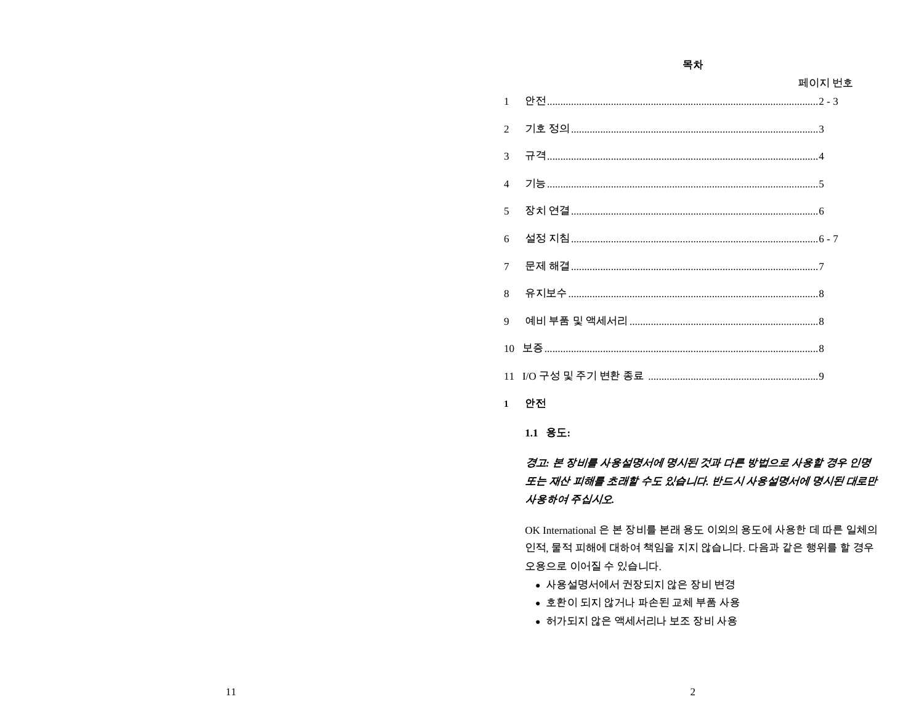페이지 번호

목차

| $\mathbf{1}$    |      |
|-----------------|------|
| $\overline{2}$  |      |
| 3               |      |
| $\overline{4}$  |      |
| $\overline{5}$  |      |
| 6               |      |
| $7\overline{ }$ |      |
| $\mathbf{R}$    |      |
| 9               |      |
|                 |      |
|                 |      |
|                 | 1 안전 |

## $1.1$   $8E:$

## 경고: 본 장비를 사용설명서에 명시된 것과 다른 방법으로 사용할 경우 인명 또는 재산 피해를 초래할 수도 있습니다. 반드시 사용설명서에 명시된 대로만 사용하여 주십시오.

OK International 은 본 장비를 본래 용도 이외의 용도에 사용한 데 따른 일체의 인적, 물적 피해에 대하여 책임을 지지 않습니다. 다음과 같은 행위를 할 경우 오용으로 이어질 수 있습니다.

- 사용설명서에서 권장되지 않은 장비 변경
- 호환이 되지 않거나 파손된 교체 부품 사용
- 허가되지 않은 액세서리나 보조 장비 사용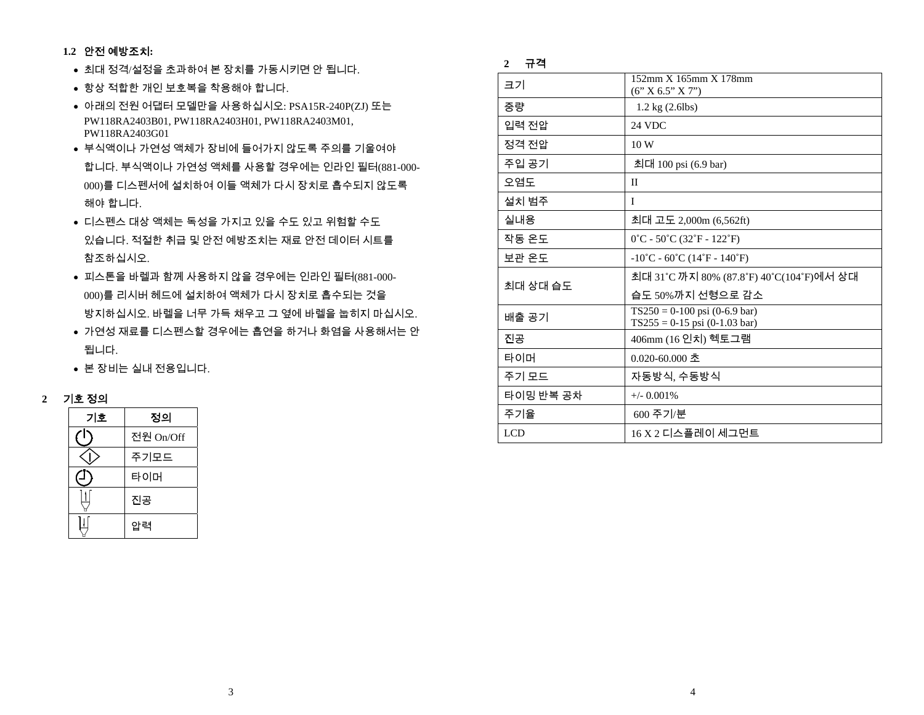#### **1.2** 안전 예방조치**:**

- 최대 정격/설정을 초과하여 본 장치를 가동시키면 안 됩니다.
- 항상 적합한 개인 보호복을 착용해야 합니다.
- 아래의 전원 어댑터 모델만을 사용하십시오: PSA15R-240P(ZJ) 또는 PW118RA2403B01, PW118RA2403H01, PW118RA2403M01, PW118RA2403G01
- 부식액이나 가연성 액체가 장비에 들어가지 않도록 주의를 기울여야 합니다. 부식액이나 가연성 액체를 사용할 경우에는 인라인 필터(881-000- 000)를 디스펜서에 설치하여 이들 액체가 다시 장치로 흡수되지 않도록 해야 합니다.
- 디스펜스 대상 액체는 독성을 가지고 있을 수도 있고 위험할 수도 있습니다. 적절한 취급 및 안전 예방조치는 재료 안전 데이터 시트를 참조하십시오.
- 피스톤을 바렐과 함께 사용하지 않을 경우에는 인라인 필터(881-000- 000)를 리시버 헤드에 설치하여 액체가 다시 장치로 흡수되는 것을 방지하십시오. 바렐을 너무 가득 채우고 <sup>그</sup> 옆에 바렐을 눕히지 마십시오.
- 가연성 재료를 디스펜스할 경우에는 흡연을 하거나 화염을 사용해서는 안 됩니다.
- 본 장비는 실내 전용입니다.



| 기호 | 정의        |
|----|-----------|
|    | 전원 On/Off |
|    | 주기모드      |
|    | 타이머       |
|    | 진공        |
|    | 압력        |

#### **2** 규격

| 크기         | 152mm X 165mm X 178mm<br>(6' X 6.5'' X 7'')                            |  |
|------------|------------------------------------------------------------------------|--|
| 중량         | $1.2 \text{ kg} (2.6 \text{ lbs})$                                     |  |
| 입력 전압      | 24 VDC                                                                 |  |
| 정격 전압      | 10W                                                                    |  |
| 주입 공기      | 최대 100 psi (6.9 bar)                                                   |  |
| 오염도        | $_{\rm II}$                                                            |  |
| 설치 범주      | L                                                                      |  |
| 실내용        | 최대 고도 2,000m (6,562ft)                                                 |  |
| 작동 온도      | $0^{\circ}$ C - 50 $^{\circ}$ C (32 $^{\circ}$ F - 122 $^{\circ}$ F)   |  |
| 보관 온도      | $-10^{\circ}$ C - 60 $^{\circ}$ C (14 $^{\circ}$ F - 140 $^{\circ}$ F) |  |
| 최대 상대 습도   | 최대 31℃까지 80% (87.8℉) 40℃(104℉)에서 상대                                    |  |
|            | 습도 50%까지 선형으로 감소                                                       |  |
| 배출 공기      | $TS250 = 0-100$ psi (0-6.9 bar)<br>$TS255 = 0-15$ psi (0-1.03 bar)     |  |
| 진공         | 406mm (16 인치) 헥토그램                                                     |  |
| 타이머        | $0.020 - 60.000 \pm 0.000$                                             |  |
| 주기 모드      | 자동방식, 수동방식                                                             |  |
| 타이밍 반복 공차  | $+/-$ 0.001%                                                           |  |
| 주기율        | 600 주기/분                                                               |  |
| <b>LCD</b> | 16 X 2 디스플레이 세그먼트                                                      |  |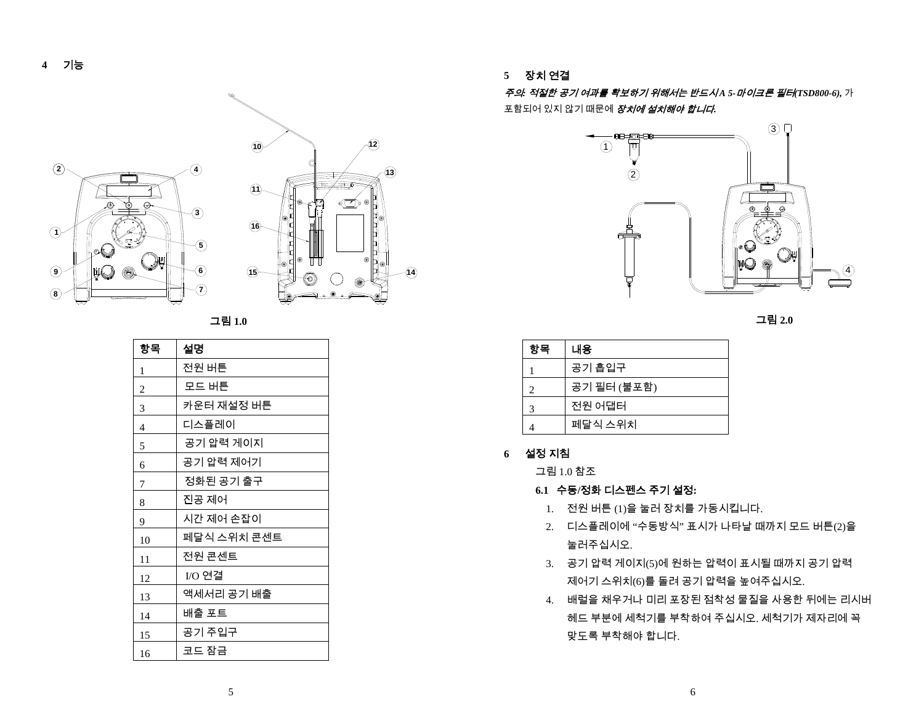

그림 **1.0** 

| 항목 | 설명          |
|----|-------------|
| 1  | 전원 버튼       |
| 2  | 모드 버튼       |
| 3  | 카운터 재설정 버튼  |
| 4  | 디스플레이       |
| 5  | 공기 압력 게이지   |
| 6  | 공기 압력 제어기   |
| 7  | 정화된 공기 출구   |
| 8  | 진공 제어       |
| 9  | 시간 제어 손잡이   |
| 10 | 페달식 스위치 콘센트 |
| 11 | 전원 콘센트      |
| 12 | I/O 연결      |
| 13 | 액세서리 공기 배출  |
| 14 | 배출 포트       |
| 15 | 공기 주입구      |
| 16 | 코드 잠금       |

**5** 장치 연결

*주의: 적절한 공기 여과를 확보하기 위해서는 반드시A 5-마이크론 필터(TSD800-6),* 가 포함되어 있지 않기 때문에 장치에 설치해야 합니다*.*



그림 **2.0** 

| 항목 | 내용          |
|----|-------------|
|    | 공기 흡입구      |
| 2. | 공기 필터 (불포함) |
| 3  | 전원 어댑터      |
|    | 페달식 스위치     |

#### **6** 설정 지침

그림 1.0 참조

**6.1** 수동**/**정화 디스펜스 주기 설정**:** 

- 1. 전원 버튼 (1) 을 눌러 장치를 가동시킵니다.
- 2. 디스플레이에 "수동방식" 표시가 나타날 때까지 모드 버튼(2) 을눌러주십시오.
- 3. 공기 압력 게이지(5) 에 원하는 압력이 표시될 때까지 공기 압력 제어기 스위치(6) 를 돌려 공기 압력을 높여주십시오.
- 4. 배럴을 채우거나 미리 포장된 점착성 물질을 사용한 뒤에는 리시버 헤드 부분에 세척기를 부착하여 주십시오. 세척기가 제자리에 꼭맞도록 부착해야 합니다.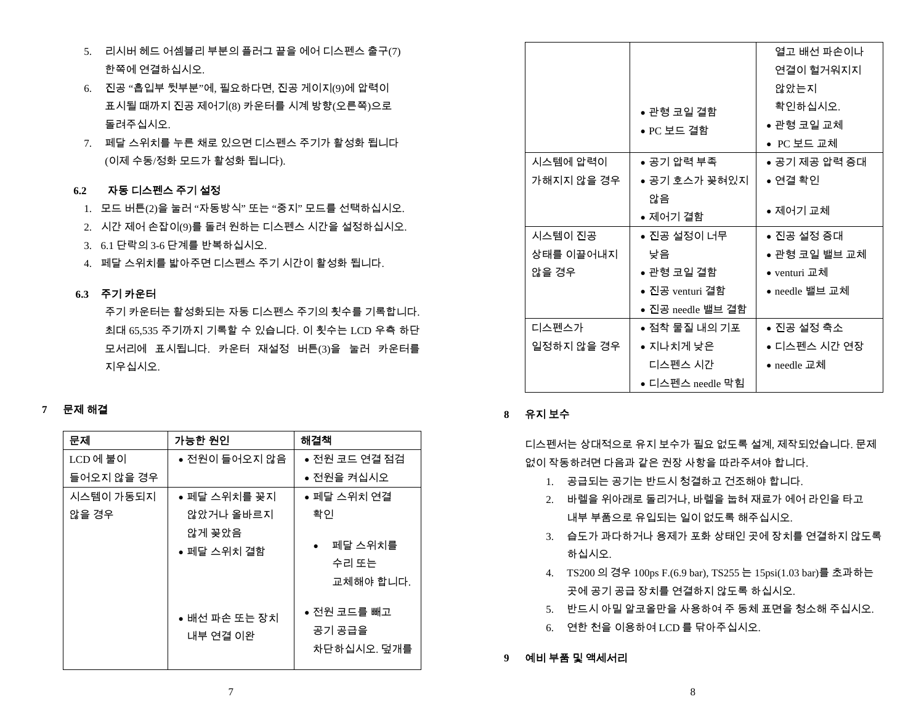- 5. 리시버 헤드 어셈블리 부분의 플러그 끝을 에어 디스펜스 출구(7) 한쪽에 연결하십시오.
- 6. 진공 "흡입부 뒷부분"에, 필요하다면, 진공 게이지(9)에 압력이 표시될 때까지 진공 제어기(8) 카운터를 시계 방향(오른쪽)으로 돌려주십시오.
- 7. 페달 스위치를 누른 채로 있으면 디스펜스 주기가 활성화 됩니다 (이제 수동/정화 모드가 활성화 됩니다).

#### **6.2** 자동 디스펜스 주기 설정

- 1. 모드 버튼(2)을 눌러 "자동방식" 또는 "중지" 모드를 선택하십시오.
- 2. 시간 제어 손잡이(9)를 돌려 원하는 디스펜스 시간을 설정하십시오.
- 3. 6.1 단락의 3-6 단계를 반복하십시오.
- 4. 페달 스위치를 밟아주면 디스펜스 주기 시간이 활성화 됩니다.

#### **6.3** 주기 카운터

주기 카운터는 활성화되는 자동 디스펜스 주기의 횟수를 기록합니다. 최대 65,535 주기까지 기록할 수 있습니다. 이 횟수는 LCD 우측 하단 모서리에 표시됩니다. 카운터 재설정 버튼(3)을 눌러 카운터를 지우십시오.

### **7** 문제 해결

| 문제         | 가능한 원인                    | 해결책                                  |
|------------|---------------------------|--------------------------------------|
| LCD에 불이    | ● 전원이 들어오지 않음             | ● 전원 코드 연결 점검                        |
| 들어오지 않을 경우 |                           | ● 전원을 켜십시오                           |
| 시스템이 가동되지  | ● 페달 스위치를 꽂지              | ● 페달 스위치 연결                          |
| 않을 경우      | 않았거나 올바르지                 | 확인                                   |
|            | 않게 꽂았음<br>● 페달 스위치 결함     | 페달 스위치를<br>수리 또는<br>교체해야 합니다.        |
|            | ● 배선 파손 또는 장치<br>내부 연결 이완 | ● 전원 코드를 빼고<br>공기 공급을<br>차단하십시오. 덮개를 |

|            |                   | 열고 배선 파손이나     |
|------------|-------------------|----------------|
|            |                   | 연결이 헐거워지지      |
|            |                   | 않았는지           |
|            | ● 관형 코일 결함        | 확인하십시오.        |
|            | ● PC 보드 결함        | ● 관형 코일 교체     |
|            |                   | ● PC 보드 교체     |
| 시스템에 압력이   | ● 공기 압력 부족        | ● 공기 제공 압력 증대  |
| 가해지지 않을 경우 | ● 공기 호스가 꽂혀있지     | ● 연결 확인        |
|            | 않음                |                |
|            | ● 제어기 결함          | • 제어기 교체       |
| 시스템이 진공    | ● 진공 설정이 너무       | ● 진공 설정 증대     |
| 상태를 이끌어내지  | 낮음                | ● 관형 코일 밸브 교체  |
| 않을 경우      | ● 관형 코일 결함        | ● venturi 교체   |
|            | ● 진공 venturi 결함   | ● needle 밸브 교체 |
|            | ● 진공 needle 밸브 결함 |                |
| 디스펜스가      | ● 점착 물질 내의 기포     | ● 진공 설정 축소     |
| 일정하지 않을 경우 | ● 지나치게 낮은         | ● 디스펜스 시간 연장   |
|            | 디스펜스 시간           | ● needle 교체    |
|            | ● 디스펜스 needle 막힘  |                |

#### **8** 유지 보수

디스펜서는 상대적으로 유지 보수가 필요 없도록 설계, 제작되었습니다. 문제 없이 작동하려면 다음과 같은 권장 사항을 따라주셔야 합니다.

- 1. 공급되는 공기는 반드시 청결하고 건조해야 합니다.
- 2. 바렐을 위아래로 돌리거나, 바렐을 눕혀 재료가 에어 라인을 타고 내부 부품으로 유입되는 일이 없도록 해주십시오.
- 3. 습도가 과다하거나 용제가 포화 상태인 곳에 장치를 연결하지 않도록 하십시오.
- 4. TS200 의 경우 100ps F.(6.9 bar), TS255 는 15psi(1.03 bar)를 초과하는 곳에 공기 공급 장치를 연결하지 않도록 하십시오.
- 5. 반드시 아밀 알코올만을 사용하여 주 동체 표면을 청소해 주십시오.
- 6. 연한 천을 이용하여 LCD 를 닦아주십시오.

#### **9** 예비 부품 및 액세서리